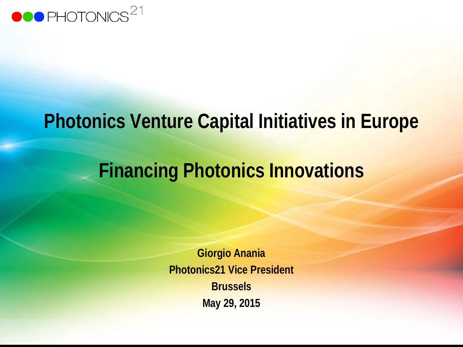

## **Photonics Venture Capital Initiatives in Europe**

# **Financing Photonics Innovations**

**Giorgio Anania Photonics21 Vice President Brussels May 29, 2015**

 $\mathcal{L}=\mathcal{L}^2$  ,  $\mathcal{L}^2=\mathcal{L}^2$  ,  $\mathcal{L}^2=\mathcal{L}^2$  ,  $\mathcal{L}^2=\mathcal{L}^2$  ,  $\mathcal{L}^2=\mathcal{L}^2$  ,  $\mathcal{L}^2=\mathcal{L}^2$  ,  $\mathcal{L}^2=\mathcal{L}^2$  ,  $\mathcal{L}^2=\mathcal{L}^2$  ,  $\mathcal{L}^2=\mathcal{L}^2$  ,  $\mathcal{L}^2=\mathcal{L}^2$  ,  $\mathcal{L}^2=\mathcal{$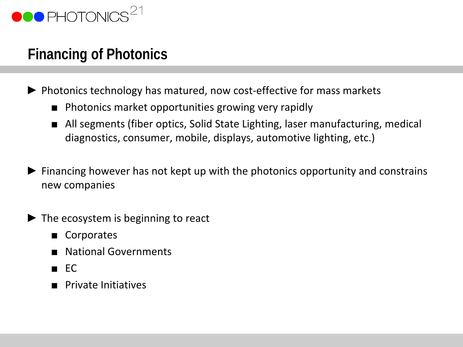

### **Financing of Photonics**

- ► Photonics technology has matured, now cost-effective for mass markets
	- Photonics market opportunities growing very rapidly
	- All segments (fiber optics, Solid State Lighting, laser manufacturing, medical diagnostics, consumer, mobile, displays, automotive lighting, etc.)
- $\blacktriangleright$  Financing however has not kept up with the photonics opportunity and constrains new companies
- ► The ecosystem is beginning to react
	- Corporates
	- National Governments
	- EC
	- Private Initiatives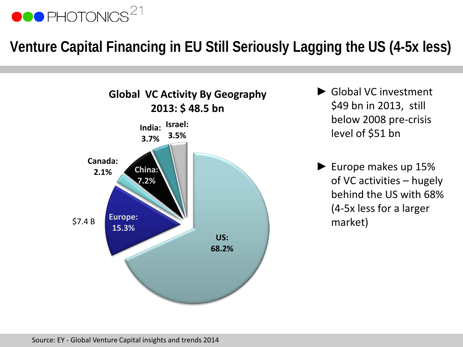

### **Venture Capital Financing in EU Still Seriously Lagging the US (4-5x less)**



- ► Global VC investment \$49 bn in 2013, still below 2008 pre-crisis level of \$51 bn
- ► Europe makes up 15% of VC activities – hugely behind the US with 68% (4-5x less for a larger market)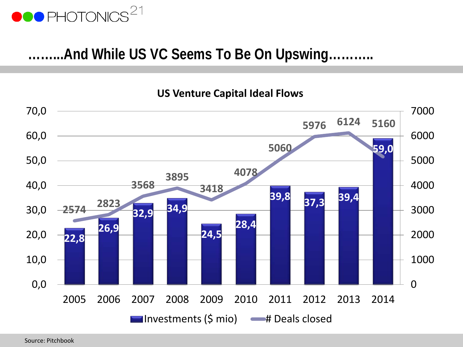

#### **……...And While US VC Seems To Be On Upswing………..**

#### **US Venture Capital Ideal Flows**



Source: Pitchbook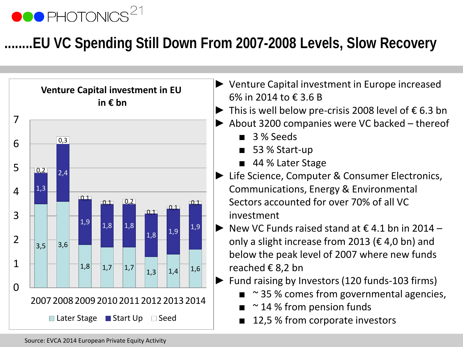## **OO PHOTONICS**

### **.EU VC Spending Still Down From 2007-2008 Levels, Slow Recovery**



- ► Venture Capital investment in Europe increased 6% in 2014 to € 3.6 B
- $\triangleright$  This is well below pre-crisis 2008 level of  $\epsilon$  6.3 bn
- ► About 3200 companies were VC backed thereof
	- 3 % Seeds
	- 53 % Start-up
	- 44 % Later Stage
- ► Life Science, Computer & Consumer Electronics, Communications, Energy & Environmental Sectors accounted for over 70% of all VC investment
- $\triangleright$  New VC Funds raised stand at  $\epsilon$  4.1 bn in 2014 only a slight increase from 2013 ( $\epsilon$  4,0 bn) and below the peak level of 2007 where new funds reached € 8,2 bn
- ► Fund raising by Investors (120 funds-103 firms)
	- $\blacksquare$  ~ 35 % comes from governmental agencies,
	- $\approx$  14 % from pension funds
	- 12,5 % from corporate investors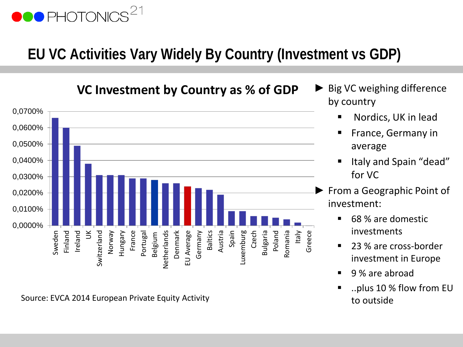## **OO** PHOTONICS

### **EU VC Activities Vary Widely By Country (Investment vs GDP)**

**VC Investment by Country as % of GDP**



Source: EVCA 2014 European Private Equity Activity **Source: EVCA 2014 European Private Equity Activity** and the structure of the outside

- Big VC weighing difference by country
	- Nordics, UK in lead
	- **France, Germany in** average
	- Italy and Spain "dead" for VC
- ► From a Geographic Point of investment:
	- 68 % are domestic investments
	- 23 % are cross-border investment in Europe
	- 9 % are abroad
	- ..plus 10 % flow from EU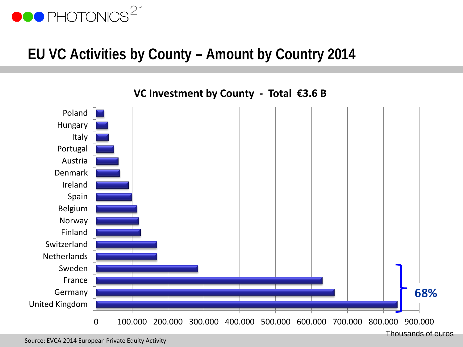

#### **EU VC Activities by County – Amount by Country 2014**

0 100.000 200.000 300.000 400.000 500.000 600.000 700.000 800.000 900.000 United Kingdom Germany France Sweden **Netherlands** Switzerland Finland Norway Belgium Spain Ireland Denmark Austria Portugal Italy Hungary Poland **68%**

Thousands of euros

**VC Investment by County - Total €3.6 B**

Source: EVCA 2014 European Private Equity Activity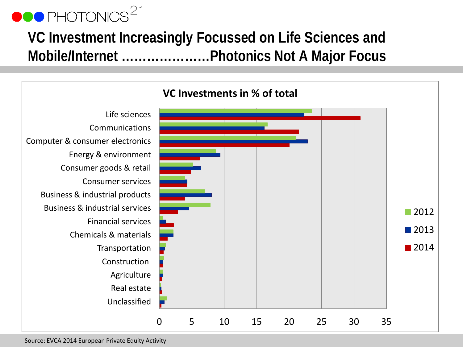### **VC Investment Increasingly Focussed on Life Sciences and Mobile/Internet …………………Photonics Not A Major Focus**

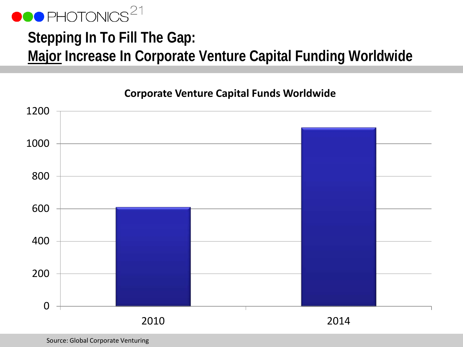

### **Stepping In To Fill The Gap: Major Increase In Corporate Venture Capital Funding Worldwide**



#### **Corporate Venture Capital Funds Worldwide**

Source: Global Corporate Venturing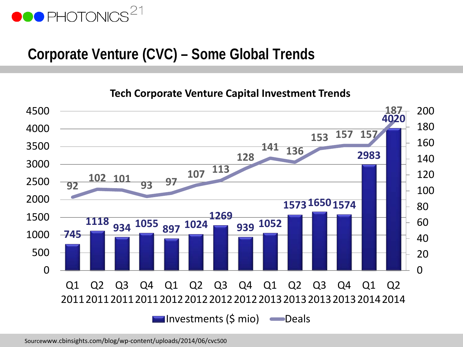### **Corporate Venture (CVC) – Some Global Trends**

**Tech Corporate Venture Capital Investment Trends**



Sourcewww.cbinsights.com/blog/wp-content/uploads/2014/06/cvc500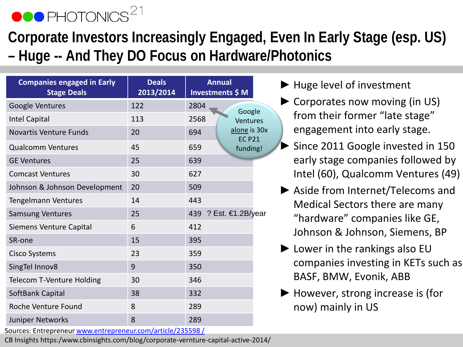### **Corporate Investors Increasingly Engaged, Even In Early Stage (esp. US) – Huge -- And They DO Focus on Hardware/Photonics**

| <b>Companies engaged in Early</b><br><b>Stage Deals</b> | <b>Deals</b><br>2013/2014 | <b>Annual</b><br>Investments \$ M    |
|---------------------------------------------------------|---------------------------|--------------------------------------|
| Google Ventures                                         | 122                       | 2804<br>Google                       |
| <b>Intel Capital</b>                                    | 113                       | 2568<br>Ventures                     |
| <b>Novartis Venture Funds</b>                           | 20                        | alone is 30x<br>694<br><b>EC P21</b> |
| <b>Qualcomm Ventures</b>                                | 45                        | 659<br>funding!                      |
| <b>GE Ventures</b>                                      | 25                        | 639                                  |
| <b>Comcast Ventures</b>                                 | 30                        | 627                                  |
| Johnson & Johnson Development                           | 20                        | 509                                  |
| <b>Tengelmann Ventures</b>                              | 14                        | 443                                  |
| <b>Samsung Ventures</b>                                 | 25                        | 439 ? Est. €1.2B/year                |
| <b>Siemens Venture Capital</b>                          | 6                         | 412                                  |
| SR-one                                                  | 15                        | 395                                  |
| <b>Cisco Systems</b>                                    | 23                        | 359                                  |
| SingTel Innov8                                          | 9                         | 350                                  |
| <b>Telecom T-Venture Holding</b>                        | 30                        | 346                                  |
| SoftBank Capital                                        | 38                        | 332                                  |
| Roche Venture Found                                     | 8                         | 289                                  |
| <b>Juniper Networks</b>                                 | 8                         | 289                                  |

- ► Huge level of investment
- ► Corporates now moving (in US) from their former "late stage" engagement into early stage.
- ► Since 2011 Google invested in 150 early stage companies followed by Intel (60), Qualcomm Ventures (49)
- ► Aside from Internet/Telecoms and Medical Sectors there are many "hardware" companies like GE, Johnson & Johnson, Siemens, BP
- $\blacktriangleright$  Lower in the rankings also EU companies investing in KETs such as BASF, BMW, Evonik, ABB
- $\blacktriangleright$  However, strong increase is (for now) mainly in US

Sources: Entrepreneur [www.entrepreneur.com/article/235598](http://www.entrepreneur.com/article/235598 /) [/](http://www.entrepreneur.com/article/235598 /)

CB Insights https:/www.cbinsights.com/blog/corporate-vernture-capital-active-2014/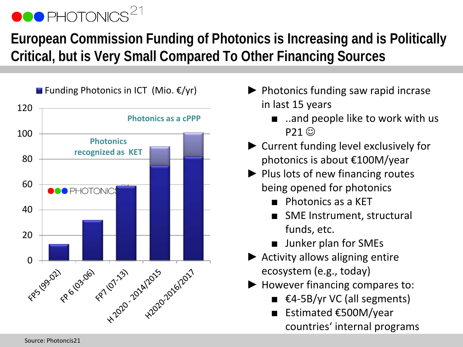### **European Commission Funding of Photonics is Increasing and is Politically Critical, but is Very Small Compared To Other Financing Sources**



- ► Photonics funding saw rapid incrase in last 15 years
	- ..and people like to work with us  $P21$   $\odot$
- ► Current funding level exclusively for photonics is about €100M/year
- ► Plus lots of new financing routes being opened for photonics
	- Photonics as a KET
	- **SME Instrument, structural** funds, etc.
	- Junker plan for SMEs
- ► Activity allows aligning entire ecosystem (e.g., today)
- ► However financing compares to:
	- $€4-5B/yr VC (all segments)$
	- Estimated €500M/year countries' internal programs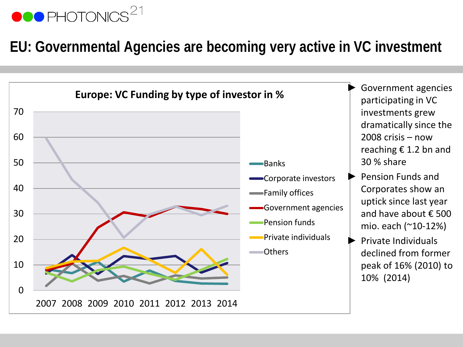### **EU: Governmental Agencies are becoming very active in VC investment**

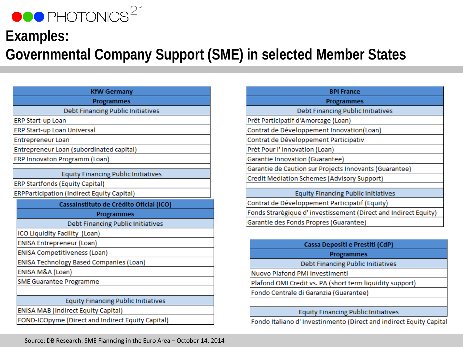### **Examples: Governmental Company Support (SME) in selected Member States**

| <b>KfW Germany</b>                                |  |  |
|---------------------------------------------------|--|--|
| <b>Programmes</b>                                 |  |  |
| Debt Financing Public Initiatives                 |  |  |
| <b>ERP Start-up Loan</b>                          |  |  |
| ERP Start-up Loan Universal                       |  |  |
| <b>Entrepreneur Loan</b>                          |  |  |
| Entrepreneur Loan (subordinated capital)          |  |  |
| ERP Innovaton Programm (Loan)                     |  |  |
| <b>Equity Financing Public Initiatives</b>        |  |  |
| <b>ERP Startfonds (Equity Capital)</b>            |  |  |
| <b>ERPParticipation (Indirect Equity Capital)</b> |  |  |
| CassaInstituto de Crédito Oficial (ICO)           |  |  |
| <b>Programmes</b>                                 |  |  |
| Debt Financing Public Initiatives                 |  |  |
| ICO Liquidity Facility (Loan)                     |  |  |
| <b>ENISA Entrepreneur (Loan)</b>                  |  |  |
| ENISA Competitiveness (Loan)                      |  |  |
| ENISA Technology Based Companies (Loan)           |  |  |
| ENISA M&A (Loan)                                  |  |  |
| <b>SME Guarantee Programme</b>                    |  |  |
|                                                   |  |  |
| <b>Equity Financing Public Initiatives</b>        |  |  |
| <b>ENISA MAB (indirect Equity Capital)</b>        |  |  |
|                                                   |  |  |

| <b>BPI France</b>                                               |  |  |
|-----------------------------------------------------------------|--|--|
| <b>Programmes</b>                                               |  |  |
| Debt Financing Public Initiatives                               |  |  |
| Prêt Participatif d'Amorcage (Loan)                             |  |  |
| Contrat de Développement Innovation(Loan)                       |  |  |
| Contrat de Développement Participativ                           |  |  |
| Prèt Pour l'Innovation (Loan)                                   |  |  |
| Garantie Innovation (Guarantee)                                 |  |  |
| Garantie de Caution sur Projects Innovants (Guarantee)          |  |  |
| Credit Mediation Schemes (Advisory Support)                     |  |  |
|                                                                 |  |  |
| <b>Equity Financing Public Initiatives</b>                      |  |  |
| Contrat de Développement Participatif (Equity)                  |  |  |
| Fonds Strarègique d'investissement (Direct and Indirect Equity) |  |  |
| Garantie des Fonds Propres (Guarantee)                          |  |  |
|                                                                 |  |  |

| Cassa Depositi e Prestiti (CdP)                          |  |  |
|----------------------------------------------------------|--|--|
| <b>Programmes</b>                                        |  |  |
| Debt Financing Public Initiatives                        |  |  |
| Nuovo Plafond PMI Investimenti                           |  |  |
| Plafond OMI Credit vs. PA (short term liquidity support) |  |  |
| Fondo Centrale di Garanzia (Guarantee)                   |  |  |
|                                                          |  |  |
| <b>Equity Financing Public Initiatives</b>               |  |  |

Fondo Italiano d'Investinmento (Direct and indirect Equity Capital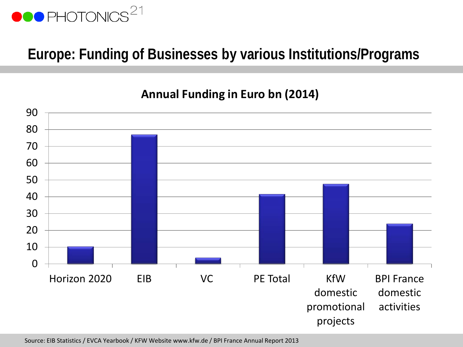

### **Europe: Funding of Businesses by various Institutions/Programs**

#### **Annual Funding in Euro bn (2014)**



Source: EIB Statistics / EVCA Yearbook / KFW Website www.kfw.de / BPI France Annual Report 2013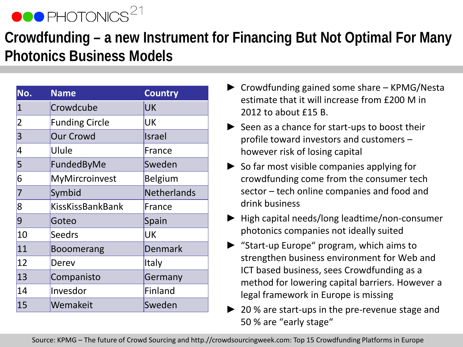### **Crowdfunding – a new Instrument for Financing But Not Optimal For Many Photonics Business Models**

| No.            | <b>Name</b>             | <b>Country</b>     |
|----------------|-------------------------|--------------------|
| $\mathbf{1}$   | Crowdcube               | <b>UK</b>          |
| $\overline{2}$ | <b>Funding Circle</b>   | UK                 |
| 3              | <b>Our Crowd</b>        | Israel             |
| 4              | Ulule                   | France             |
| 5              | FundedByMe              | Sweden             |
| 6              | MyMircroinvest          | <b>Belgium</b>     |
| 7              | Symbid                  | <b>Netherlands</b> |
| 8              | <b>KissKissBankBank</b> | France             |
| 9              | Goteo                   | Spain              |
| 10             | <b>Seedrs</b>           | UK                 |
| 11             | <b>Booomerang</b>       | Denmark            |
| 12             | Derev                   | Italy              |
| 13             | Companisto              | Germany            |
| 14             | Invesdor                | <b>Finland</b>     |
| 15             | Wemakeit                | Sweden             |

- ► Crowdfunding gained some share KPMG/Nesta estimate that it will increase from £200 M in 2012 to about £15 B.
- ► Seen as a chance for start-ups to boost their profile toward investors and customers – however risk of losing capital
- $\triangleright$  So far most visible companies applying for crowdfunding come from the consumer tech sector – tech online companies and food and drink business
- ► High capital needs/long leadtime/non-consumer photonics companies not ideally suited
- ► "Start-up Europe" program, which aims to strengthen business environment for Web and ICT based business, sees Crowdfunding as a method for lowering capital barriers. However a legal framework in Europe is missing
- ► 20 % are start-ups in the pre-revenue stage and 50 % are "early stage"

Source: KPMG – The future of Crowd Sourcing and http.//crowdsourcingweek.com: Top 15 Crowdfunding Platforms in Europe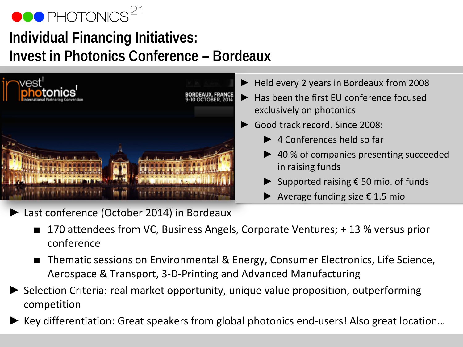

### **Individual Financing Initiatives: Invest in Photonics Conference – Bordeaux**



- ► Held every 2 years in Bordeaux from 2008
- Has been the first EU conference focused exclusively on photonics
- Good track record. Since 2008:
	- ► 4 Conferences held so far
	- ► 40 % of companies presenting succeeded in raising funds
	- ► Supported raising  $\epsilon$  50 mio. of funds
	- ► Average funding size € 1.5 mio
- Last conference (October 2014) in Bordeaux
	- 170 attendees from VC, Business Angels, Corporate Ventures; + 13 % versus prior conference
	- Thematic sessions on Environmental & Energy, Consumer Electronics, Life Science, Aerospace & Transport, 3-D-Printing and Advanced Manufacturing
- ► Selection Criteria: real market opportunity, unique value proposition, outperforming competition
- Key differentiation: Great speakers from global photonics end-users! Also great location...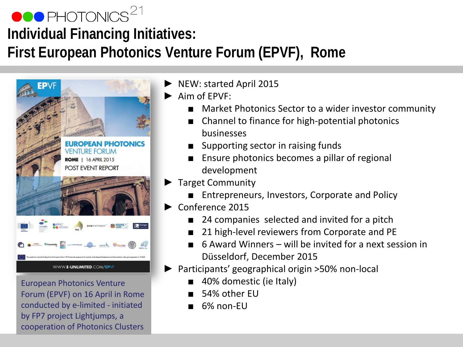### $\bullet \bullet \bullet$  PHOTONICS $^{21}$ **Individual Financing Initiatives: First European Photonics Venture Forum (EPVF), Rome**



European Photonics Venture Forum (EPVF) on 16 April in Rome conducted by e-limited - initiated by FP7 project Lightjumps, a cooperation of Photonics Clusters

► NEW: started April 2015

Aim of  $FPVF$ 

- Market Photonics Sector to a wider investor community
- Channel to finance for high-potential photonics businesses
- Supporting sector in raising funds
- Ensure photonics becomes a pillar of regional development
- ► Target Community
	- Entrepreneurs, Investors, Corporate and Policy
- ► Conference 2015
	- 24 companies selected and invited for a pitch
	- 21 high-level reviewers from Corporate and PE
	- 6 Award Winners will be invited for a next session in Düsseldorf, December 2015
- ► Participants' geographical origin >50% non-local
	- 40% domestic (ie Italy)
	- 54% other EU
	- 6% non-FU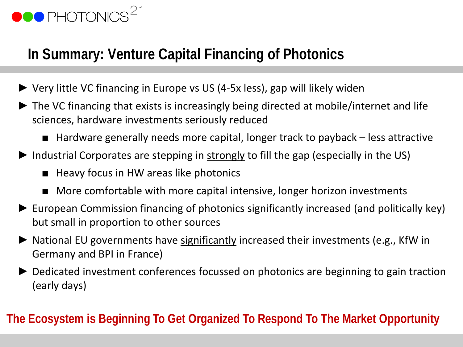### **In Summary: Venture Capital Financing of Photonics**

- ► Very little VC financing in Europe vs US (4-5x less), gap will likely widen
- ► The VC financing that exists is increasingly being directed at mobile/internet and life sciences, hardware investments seriously reduced
	- Hardware generally needs more capital, longer track to payback less attractive
- ► Industrial Corporates are stepping in strongly to fill the gap (especially in the US)
	- Heavy focus in HW areas like photonics
	- More comfortable with more capital intensive, longer horizon investments
- ► European Commission financing of photonics significantly increased (and politically key) but small in proportion to other sources
- ► National EU governments have significantly increased their investments (e.g., KfW in Germany and BPI in France)
- ► Dedicated investment conferences focussed on photonics are beginning to gain traction (early days)

#### **The Ecosystem is Beginning To Get Organized To Respond To The Market Opportunity**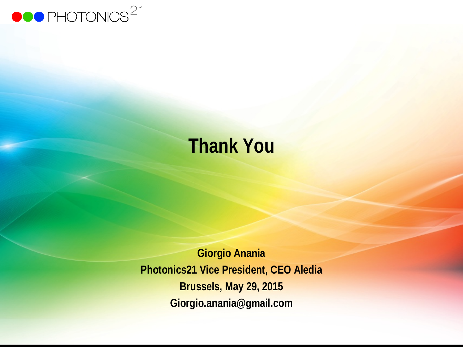

# **Thank You**

**Giorgio Anania Photonics21 Vice President, CEO Aledia Brussels, May 29, 2015 Giorgio.anania@gmail.com**

 $\sim$  11, 2010 – 2010 – 2010 – 2010 – 2010 – 2010 – 2010 – 2010 – 2010 – September 1, 2010 – September 1, 2012 – 20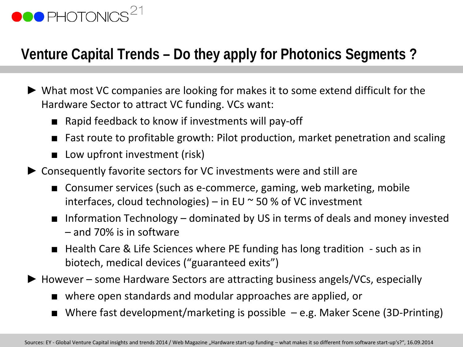### **Venture Capital Trends – Do they apply for Photonics Segments ?**

- ► What most VC companies are looking for makes it to some extend difficult for the Hardware Sector to attract VC funding. VCs want:
	- Rapid feedback to know if investments will pay-off
	- Fast route to profitable growth: Pilot production, market penetration and scaling
	- Low upfront investment (risk)
- ► Consequently favorite sectors for VC investments were and still are
	- Consumer services (such as e-commerce, gaming, web marketing, mobile interfaces, cloud technologies) – in EU  $\sim$  50 % of VC investment
	- Information Technology dominated by US in terms of deals and money invested – and 70% is in software
	- Health Care & Life Sciences where PE funding has long tradition such as in biotech, medical devices ("guaranteed exits")
- ► However some Hardware Sectors are attracting business angels/VCs, especially
	- where open standards and modular approaches are applied, or
	- Where fast development/marketing is possible  $-e.g.$  Maker Scene (3D-Printing)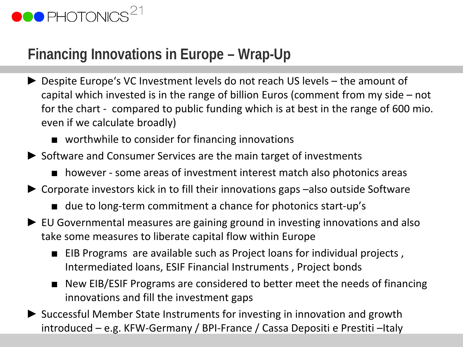

### **Financing Innovations in Europe – Wrap-Up**

- ► Despite Europe's VC Investment levels do not reach US levels the amount of capital which invested is in the range of billion Euros (comment from my side – not for the chart - compared to public funding which is at best in the range of 600 mio. even if we calculate broadly)
	- worthwhile to consider for financing innovations
- ► Software and Consumer Services are the main target of investments
	- however some areas of investment interest match also photonics areas
- ► Corporate investors kick in to fill their innovations gaps –also outside Software
	- due to long-term commitment a chance for photonics start-up's
- ► EU Governmental measures are gaining ground in investing innovations and also take some measures to liberate capital flow within Europe
	- EIB Programs are available such as Project loans for individual projects, Intermediated loans, ESIF Financial Instruments , Project bonds
	- New EIB/ESIF Programs are considered to better meet the needs of financing innovations and fill the investment gaps
- ► Successful Member State Instruments for investing in innovation and growth introduced – e.g. KFW-Germany / BPI-France / Cassa Depositi e Prestiti –Italy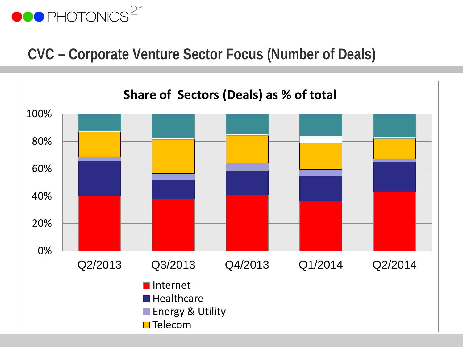#### **CVC – Corporate Venture Sector Focus (Number of Deals)**

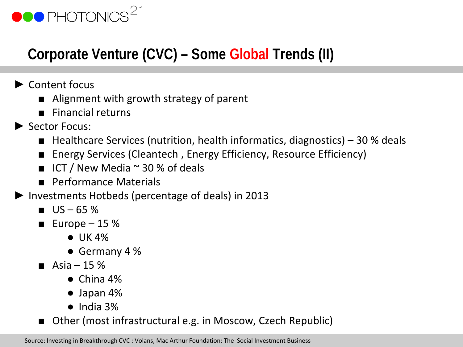### **Corporate Venture (CVC) – Some Global Trends (II)**

- ► Content focus
	- Alignment with growth strategy of parent
	- Financial returns
- ► Sector Focus:
	- Healthcare Services (nutrition, health informatics, diagnostics)  $-30$  % deals
	- Energy Services (Cleantech, Energy Efficiency, Resource Efficiency)
	- $\blacksquare$  ICT / New Media  $\sim$  30 % of deals
	- Performance Materials
- ► Investments Hotbeds (percentage of deals) in 2013
	- $\blacksquare$  US 65 %
	- Europe  $-15%$ 
		- $\bullet$  UK 4%
		- Germany 4 %
	- Asia 15  $%$ 
		- $\bullet$  China 4%
		- Japan 4%
		- $\bullet$  India 3%
	- Other (most infrastructural e.g. in Moscow, Czech Republic)

Source: Investing in Breakthrough CVC : Volans, Mac Arthur Foundation; The Social Investment Business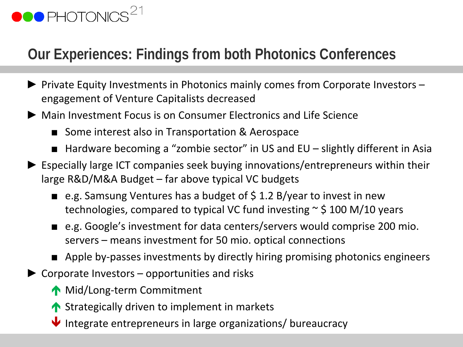### **Our Experiences: Findings from both Photonics Conferences**

- ► Private Equity Investments in Photonics mainly comes from Corporate Investors engagement of Venture Capitalists decreased
- ► Main Investment Focus is on Consumer Electronics and Life Science
	- Some interest also in Transportation & Aerospace
	- Hardware becoming a "zombie sector" in US and EU slightly different in Asia
- ► Especially large ICT companies seek buying innovations/entrepreneurs within their large R&D/M&A Budget – far above typical VC budgets
	- e.g. Samsung Ventures has a budget of  $$ 1.2 B/year$  to invest in new technologies, compared to typical VC fund investing  $\sim$  \$ 100 M/10 years
	- e.g. Google's investment for data centers/servers would comprise 200 mio. servers – means investment for 50 mio. optical connections
	- Apple by-passes investments by directly hiring promising photonics engineers
- $\triangleright$  Corporate Investors opportunities and risks
	- Mid/Long-term Commitment
	- ↑ Strategically driven to implement in markets
	- $\blacktriangleright$  Integrate entrepreneurs in large organizations/ bureaucracy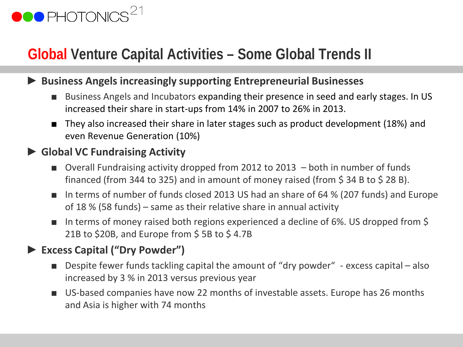### **Global Venture Capital Activities – Some Global Trends II**

#### ► **Business Angels increasingly supporting Entrepreneurial Businesses**

- Business Angels and Incubators expanding their presence in seed and early stages. In US increased their share in start-ups from 14% in 2007 to 26% in 2013.
- They also increased their share in later stages such as product development (18%) and even Revenue Generation (10%)

#### ► **Global VC Fundraising Activity**

- Overall Fundraising activity dropped from 2012 to 2013  $-$  both in number of funds financed (from 344 to 325) and in amount of money raised (from  $\frac{1}{5}$  34 B to  $\frac{1}{5}$  28 B).
- In terms of number of funds closed 2013 US had an share of 64 % (207 funds) and Europe of 18 % (58 funds) – same as their relative share in annual activity
- In terms of money raised both regions experienced a decline of 6%. US dropped from \$ 21B to \$20B, and Europe from \$5B to \$4.7B

#### ► **Excess Capital ("Dry Powder")**

- Despite fewer funds tackling capital the amount of "dry powder" excess capital also increased by 3 % in 2013 versus previous year
- US-based companies have now 22 months of investable assets. Europe has 26 months and Asia is higher with 74 months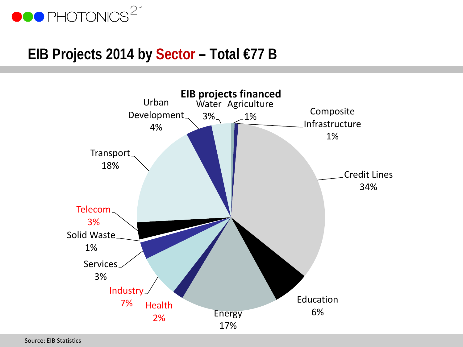

#### **EIB Projects 2014 by Sector – Total €77 B**



Source: EIB Statistics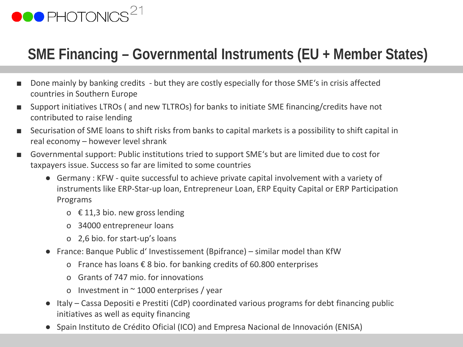

### **SME Financing – Governmental Instruments (EU + Member States)**

- Done mainly by banking credits but they are costly especially for those SME's in crisis affected countries in Southern Europe
- Support initiatives LTROs (and new TLTROs) for banks to initiate SME financing/credits have not contributed to raise lending
- Securisation of SME loans to shift risks from banks to capital markets is a possibility to shift capital in real economy – however level shrank
- Governmental support: Public institutions tried to support SME's but are limited due to cost for taxpayers issue. Success so far are limited to some countries
	- Germany : KFW quite successful to achieve private capital involvement with a variety of instruments like ERP-Star-up loan, Entrepreneur Loan, ERP Equity Capital or ERP Participation Programs
		- o € 11,3 bio. new gross lending
		- o 34000 entrepreneur loans
		- o 2,6 bio. for start-up's loans
	- France: Banque Public d' Investissement (Bpifrance) similar model than KfW
		- o France has loans € 8 bio. for banking credits of 60.800 enterprises
		- o Grants of 747 mio. for innovations
		- o Investment in  $\sim$  1000 enterprises / year
	- Italy Cassa Depositi e Prestiti (CdP) coordinated various programs for debt financing public initiatives as well as equity financing
	- Spain Instituto de Crédito Oficial (ICO) and Empresa Nacional de Innovación (ENISA)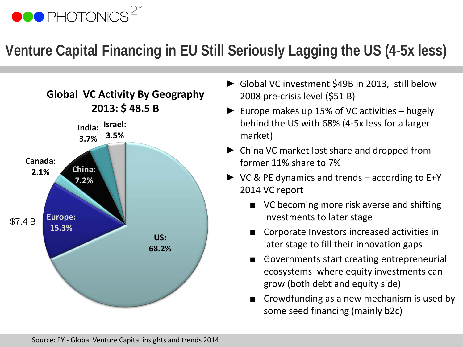### **Venture Capital Financing in EU Still Seriously Lagging the US (4-5x less)**



- ► Global VC investment \$49B in 2013, still below 2008 pre-crisis level (\$51 B)
- $\blacktriangleright$  Europe makes up 15% of VC activities hugely behind the US with 68% (4-5x less for a larger market)
- ► China VC market lost share and dropped from former 11% share to 7%
- ► VC & PE dynamics and trends according to E+Y 2014 VC report
	- VC becoming more risk averse and shifting investments to later stage
	- Corporate Investors increased activities in later stage to fill their innovation gaps
	- Governments start creating entrepreneurial ecosystems where equity investments can grow (both debt and equity side)
	- Crowdfunding as a new mechanism is used by some seed financing (mainly b2c)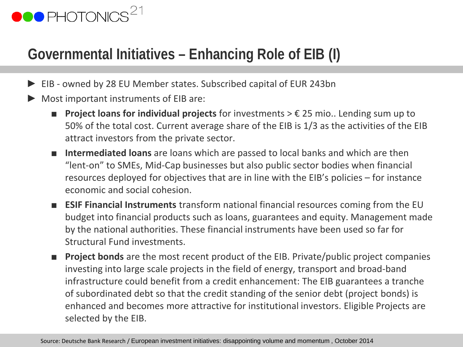# **OOO** PHOTONICS

### **Governmental Initiatives – Enhancing Role of EIB (I)**

- EIB owned by 28 EU Member states. Subscribed capital of EUR 243bn
- Most important instruments of EIB are:
	- **Project loans for individual projects** for investments > € 25 mio.. Lending sum up to 50% of the total cost. Current average share of the EIB is 1/3 as the activities of the EIB attract investors from the private sector.
	- **Intermediated loans** are loans which are passed to local banks and which are then "lent-on" to SMEs, Mid-Cap businesses but also public sector bodies when financial resources deployed for objectives that are in line with the EIB's policies – for instance economic and social cohesion.
	- **ESIF Financial Instruments** transform national financial resources coming from the EU budget into financial products such as loans, guarantees and equity. Management made by the national authorities. These financial instruments have been used so far for Structural Fund investments.
	- **Project bonds** are the most recent product of the EIB. Private/public project companies investing into large scale projects in the field of energy, transport and broad-band infrastructure could benefit from a credit enhancement: The EIB guarantees a tranche of subordinated debt so that the credit standing of the senior debt (project bonds) is enhanced and becomes more attractive for institutional investors. Eligible Projects are selected by the EIB.